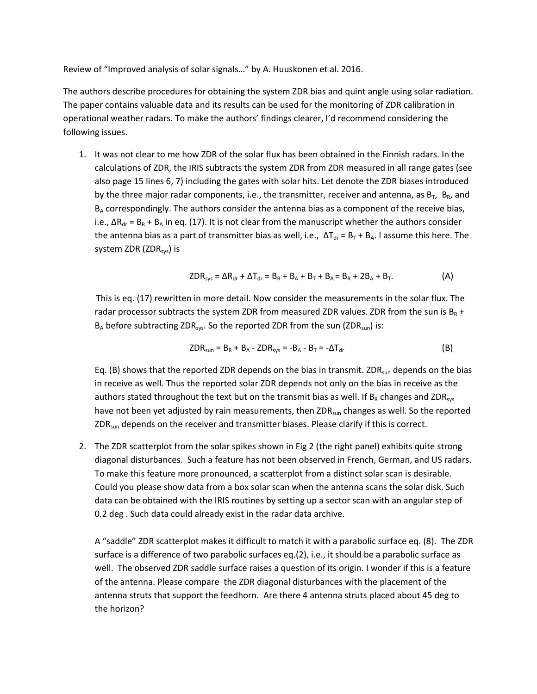Review of "Improved analysis of solar signals…" by A. Huuskonen et al. 2016.

The authors describe procedures for obtaining the system ZDR bias and quint angle using solar radiation. The paper contains valuable data and its results can be used for the monitoring of ZDR calibration in operational weather radars. To make the authors' findings clearer, I'd recommend considering the following issues.

1. It was not clear to me how ZDR of the solar flux has been obtained in the Finnish radars. In the calculations of ZDR, the IRIS subtracts the system ZDR from ZDR measured in all range gates (see also page 15 lines 6, 7) including the gates with solar hits. Let denote the ZDR biases introduced by the three major radar components, i.e., the transmitter, receiver and antenna, as  $B_T$ ,  $B_R$ , and  $B_A$  correspondingly. The authors consider the antenna bias as a component of the receive bias, i.e.,  $\Delta R_{dr} = B_R + B_A$  in eq. (17). It is not clear from the manuscript whether the authors consider the antenna bias as a part of transmitter bias as well, i.e.,  $\Delta T_{dr} = B_T + B_A$ . I assume this here. The system ZDR (ZDR<sub>sys</sub>) is

$$
ZDR_{sys} = \Delta R_{dr} + \Delta T_{dr} = B_R + B_A + B_T + B_A = B_R + 2B_A + B_T.
$$
 (A)

This is eq. (17) rewritten in more detail. Now consider the measurements in the solar flux. The radar processor subtracts the system ZDR from measured ZDR values. ZDR from the sun is  $B_R$  +  $B_A$  before subtracting ZDR<sub>sys</sub>. So the reported ZDR from the sun (ZDR<sub>sun</sub>) is:

$$
ZDR_{sun} = B_R + B_A - ZDR_{sys} = -B_A - B_T = -\Delta T_{dr}
$$
 (B)

Eq. (B) shows that the reported ZDR depends on the bias in transmit. ZDR<sub>sun</sub> depends on the bias in receive as well. Thus the reported solar ZDR depends not only on the bias in receive as the authors stated throughout the text but on the transmit bias as well. If  $B_R$  changes and ZDR<sub>sys</sub> have not been yet adjusted by rain measurements, then ZDR<sub>sun</sub> changes as well. So the reported  $ZDR<sub>sun</sub>$  depends on the receiver and transmitter biases. Please clarify if this is correct.

2. The ZDR scatterplot from the solar spikes shown in Fig 2 (the right panel) exhibits quite strong diagonal disturbances. Such a feature has not been observed in French, German, and US radars. To make this feature more pronounced, a scatterplot from a distinct solar scan is desirable. Could you please show data from a box solar scan when the antenna scans the solar disk. Such data can be obtained with the IRIS routines by setting up a sector scan with an angular step of 0.2 deg . Such data could already exist in the radar data archive.

A "saddle" ZDR scatterplot makes it difficult to match it with a parabolic surface eq. (8). The ZDR surface is a difference of two parabolic surfaces eq.(2), i.e., it should be a parabolic surface as well. The observed ZDR saddle surface raises a question of its origin. I wonder if this is a feature of the antenna. Please compare the ZDR diagonal disturbances with the placement of the antenna struts that support the feedhorn. Are there 4 antenna struts placed about 45 deg to the horizon?